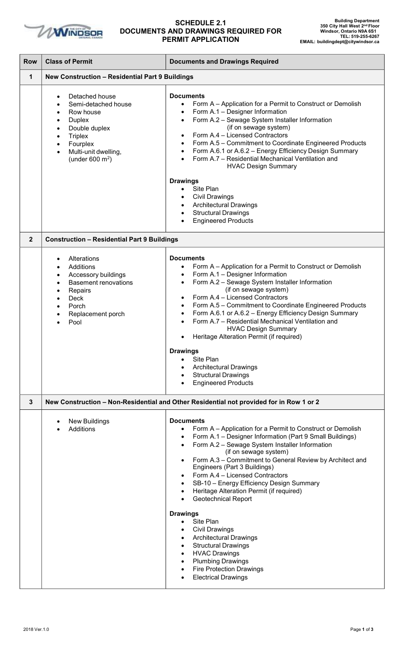

## **SCHEDULE 2.1 DOCUMENTS AND DRAWINGS REQUIRED FOR PERMIT APPLICATION**

| <b>Row</b>  | <b>Class of Permit</b>                                                                                                                                                                                                       | <b>Documents and Drawings Required</b>                                                                                                                                                                                                                                                                                                                                                                                                                                                                                                                                                                                                                                                                                                                          |  |
|-------------|------------------------------------------------------------------------------------------------------------------------------------------------------------------------------------------------------------------------------|-----------------------------------------------------------------------------------------------------------------------------------------------------------------------------------------------------------------------------------------------------------------------------------------------------------------------------------------------------------------------------------------------------------------------------------------------------------------------------------------------------------------------------------------------------------------------------------------------------------------------------------------------------------------------------------------------------------------------------------------------------------------|--|
| 1           | <b>New Construction - Residential Part 9 Buildings</b>                                                                                                                                                                       |                                                                                                                                                                                                                                                                                                                                                                                                                                                                                                                                                                                                                                                                                                                                                                 |  |
|             | Detached house<br>Semi-detached house<br>Row house<br><b>Duplex</b><br>$\bullet$<br>Double duplex<br>$\bullet$<br><b>Triplex</b><br>$\bullet$<br>Fourplex<br>$\bullet$<br>Multi-unit dwelling,<br>(under $600 \text{ m}^2$ ) | <b>Documents</b><br>Form A - Application for a Permit to Construct or Demolish<br>$\bullet$<br>Form A.1 - Designer Information<br>$\bullet$<br>Form A.2 - Sewage System Installer Information<br>$\bullet$<br>(if on sewage system)<br>Form A.4 - Licensed Contractors<br>$\bullet$<br>Form A.5 - Commitment to Coordinate Engineered Products<br>$\bullet$<br>Form A.6.1 or A.6.2 - Energy Efficiency Design Summary<br>$\bullet$<br>Form A.7 - Residential Mechanical Ventilation and<br><b>HVAC Design Summary</b>                                                                                                                                                                                                                                           |  |
|             |                                                                                                                                                                                                                              | <b>Drawings</b><br>Site Plan<br>$\bullet$<br><b>Civil Drawings</b><br>$\bullet$<br><b>Architectural Drawings</b><br>$\bullet$<br><b>Structural Drawings</b><br>$\bullet$<br><b>Engineered Products</b>                                                                                                                                                                                                                                                                                                                                                                                                                                                                                                                                                          |  |
| $\mathbf 2$ | <b>Construction - Residential Part 9 Buildings</b>                                                                                                                                                                           |                                                                                                                                                                                                                                                                                                                                                                                                                                                                                                                                                                                                                                                                                                                                                                 |  |
|             | Alterations<br>Additions<br>Accessory buildings<br>$\bullet$<br><b>Basement renovations</b><br>Repairs<br><b>Deck</b><br>Porch<br>Replacement porch<br>Pool                                                                  | <b>Documents</b><br>Form A - Application for a Permit to Construct or Demolish<br>Form A.1 - Designer Information<br>$\bullet$<br>Form A.2 - Sewage System Installer Information<br>$\bullet$<br>(if on sewage system)<br>Form A.4 - Licensed Contractors<br>$\bullet$<br>Form A.5 - Commitment to Coordinate Engineered Products<br>$\bullet$<br>Form A.6.1 or A.6.2 - Energy Efficiency Design Summary<br>$\bullet$<br>Form A.7 - Residential Mechanical Ventilation and<br>$\bullet$<br><b>HVAC Design Summary</b><br>Heritage Alteration Permit (if required)<br>$\bullet$<br><b>Drawings</b><br>Site Plan<br>$\bullet$<br><b>Architectural Drawings</b><br>$\bullet$<br><b>Structural Drawings</b><br>$\bullet$<br><b>Engineered Products</b><br>$\bullet$ |  |
| 3           |                                                                                                                                                                                                                              | New Construction - Non-Residential and Other Residential not provided for in Row 1 or 2                                                                                                                                                                                                                                                                                                                                                                                                                                                                                                                                                                                                                                                                         |  |
|             | <b>New Buildings</b><br>Additions                                                                                                                                                                                            | <b>Documents</b><br>Form A - Application for a Permit to Construct or Demolish<br>$\bullet$<br>Form A.1 - Designer Information (Part 9 Small Buildings)<br>$\bullet$<br>Form A.2 - Sewage System Installer Information<br>$\bullet$<br>(if on sewage system)<br>Form A.3 - Commitment to General Review by Architect and<br>$\bullet$<br>Engineers (Part 3 Buildings)<br>Form A.4 - Licensed Contractors<br>$\bullet$<br>SB-10 - Energy Efficiency Design Summary<br>$\bullet$<br>Heritage Alteration Permit (if required)<br>$\bullet$<br><b>Geotechnical Report</b><br>$\bullet$                                                                                                                                                                              |  |
|             |                                                                                                                                                                                                                              | <b>Drawings</b><br>Site Plan<br>$\bullet$<br><b>Civil Drawings</b><br>$\bullet$<br><b>Architectural Drawings</b><br>$\bullet$<br><b>Structural Drawings</b><br>$\bullet$<br><b>HVAC Drawings</b><br>$\bullet$<br><b>Plumbing Drawings</b><br>$\bullet$<br><b>Fire Protection Drawings</b><br>$\bullet$<br><b>Electrical Drawings</b><br>$\bullet$                                                                                                                                                                                                                                                                                                                                                                                                               |  |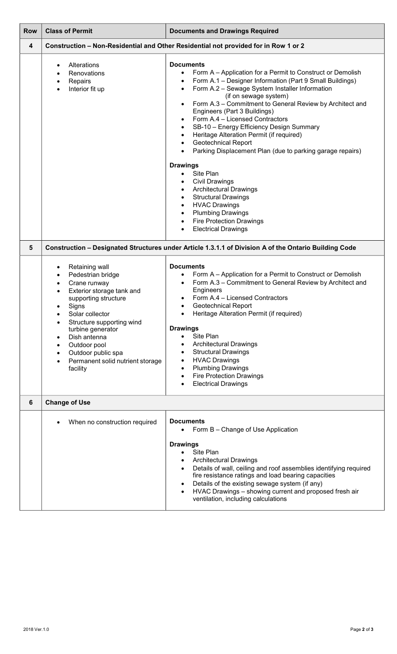| <b>Row</b> | <b>Class of Permit</b>                                                                                                                                                                                                                                                                                                 | <b>Documents and Drawings Required</b>                                                                                                                                                                                                                                                                                                                                                                                                                                                                                                                                                                                                                                                                                                                                                                                                    |  |
|------------|------------------------------------------------------------------------------------------------------------------------------------------------------------------------------------------------------------------------------------------------------------------------------------------------------------------------|-------------------------------------------------------------------------------------------------------------------------------------------------------------------------------------------------------------------------------------------------------------------------------------------------------------------------------------------------------------------------------------------------------------------------------------------------------------------------------------------------------------------------------------------------------------------------------------------------------------------------------------------------------------------------------------------------------------------------------------------------------------------------------------------------------------------------------------------|--|
| 4          |                                                                                                                                                                                                                                                                                                                        | Construction - Non-Residential and Other Residential not provided for in Row 1 or 2                                                                                                                                                                                                                                                                                                                                                                                                                                                                                                                                                                                                                                                                                                                                                       |  |
|            | Alterations<br>Renovations<br>Repairs<br>٠<br>Interior fit up<br>$\bullet$                                                                                                                                                                                                                                             | <b>Documents</b><br>Form A – Application for a Permit to Construct or Demolish<br>Form A.1 - Designer Information (Part 9 Small Buildings)<br>Form A.2 - Sewage System Installer Information<br>$\bullet$<br>(if on sewage system)<br>Form A.3 - Commitment to General Review by Architect and<br>Engineers (Part 3 Buildings)<br>Form A.4 - Licensed Contractors<br>٠<br>SB-10 - Energy Efficiency Design Summary<br>٠<br>Heritage Alteration Permit (if required)<br>٠<br><b>Geotechnical Report</b><br>Parking Displacement Plan (due to parking garage repairs)<br><b>Drawings</b><br>Site Plan<br><b>Civil Drawings</b><br><b>Architectural Drawings</b><br>٠<br><b>Structural Drawings</b><br>٠<br><b>HVAC Drawings</b><br>٠<br><b>Plumbing Drawings</b><br>٠<br><b>Fire Protection Drawings</b><br>٠<br><b>Electrical Drawings</b> |  |
| 5          | Construction - Designated Structures under Article 1.3.1.1 of Division A of the Ontario Building Code                                                                                                                                                                                                                  |                                                                                                                                                                                                                                                                                                                                                                                                                                                                                                                                                                                                                                                                                                                                                                                                                                           |  |
|            | Retaining wall<br>Pedestrian bridge<br>Crane runway<br>Exterior storage tank and<br>supporting structure<br>Signs<br>Solar collector<br>Structure supporting wind<br>turbine generator<br>Dish antenna<br>Outdoor pool<br>$\bullet$<br>Outdoor public spa<br>$\bullet$<br>Permanent solid nutrient storage<br>facility | <b>Documents</b><br>Form A – Application for a Permit to Construct or Demolish<br>Form A.3 - Commitment to General Review by Architect and<br>٠<br>Engineers<br>Form A.4 - Licensed Contractors<br>Geotechnical Report<br>Heritage Alteration Permit (if required)<br><b>Drawings</b><br>Site Plan<br>$\bullet$<br><b>Architectural Drawings</b><br><b>Structural Drawings</b><br>$\bullet$<br><b>HVAC Drawings</b><br>٠<br><b>Plumbing Drawings</b><br>٠<br><b>Fire Protection Drawings</b><br>$\bullet$<br><b>Electrical Drawings</b>                                                                                                                                                                                                                                                                                                   |  |
| 6          | <b>Change of Use</b>                                                                                                                                                                                                                                                                                                   |                                                                                                                                                                                                                                                                                                                                                                                                                                                                                                                                                                                                                                                                                                                                                                                                                                           |  |
|            | When no construction required                                                                                                                                                                                                                                                                                          | <b>Documents</b><br>Form B - Change of Use Application<br><b>Drawings</b><br>Site Plan<br>$\bullet$<br><b>Architectural Drawings</b><br>٠<br>Details of wall, ceiling and roof assemblies identifying required<br>fire resistance ratings and load bearing capacities<br>Details of the existing sewage system (if any)<br>$\bullet$<br>HVAC Drawings - showing current and proposed fresh air<br>$\bullet$<br>ventilation, including calculations                                                                                                                                                                                                                                                                                                                                                                                        |  |